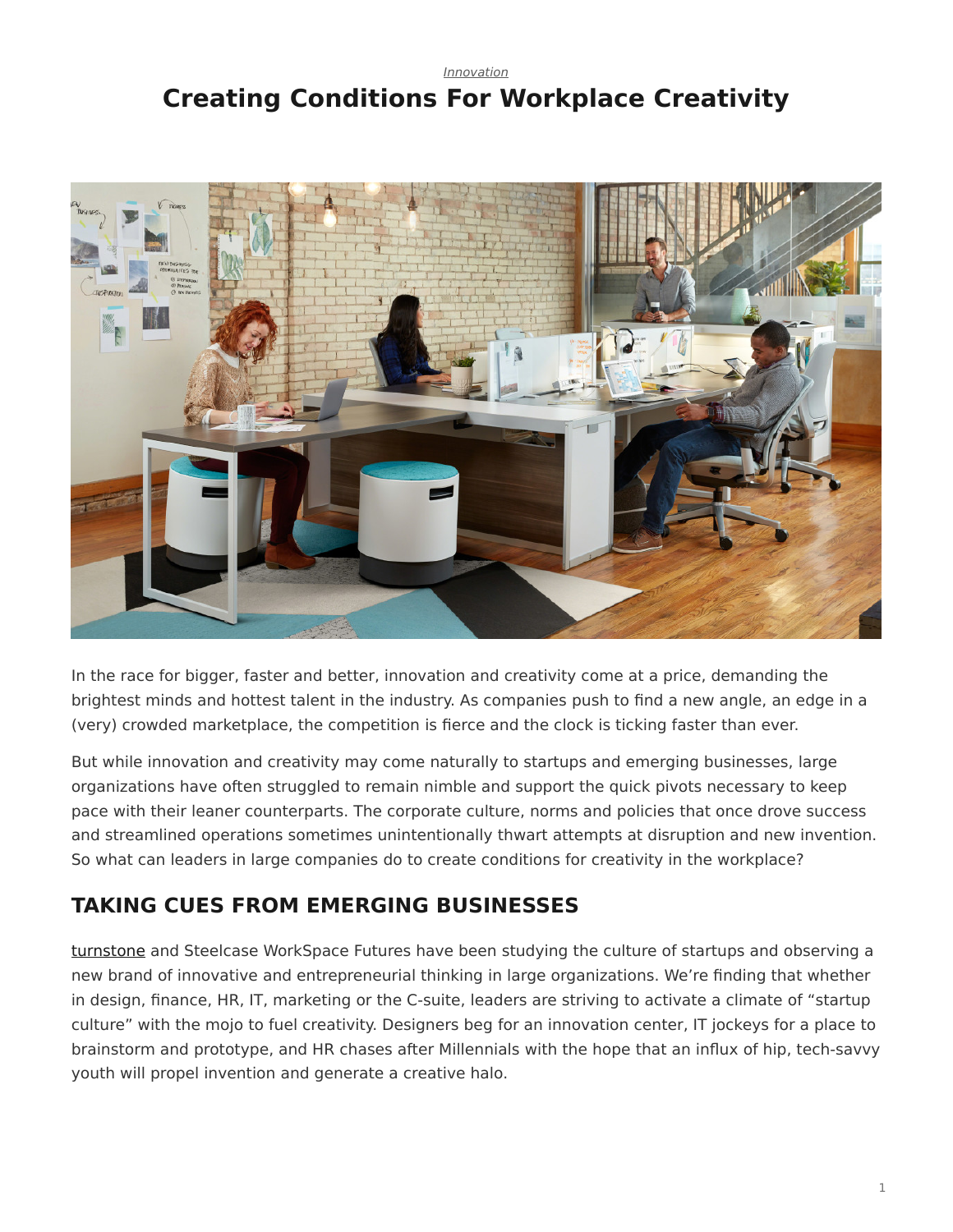### <span id="page-0-0"></span>*[Innovation](https://www.steelcase.com/research/topics/innovation/)* **Creating Conditions For Workplace Creativity**



In the race for bigger, faster and better, innovation and creativity come at a price, demanding the brightest minds and hottest talent in the industry. As companies push to find a new angle, an edge in a (very) crowded marketplace, the competition is fierce and the clock is ticking faster than ever.

But while innovation and creativity may come naturally to startups and emerging businesses, large organizations have often struggled to remain nimble and support the quick pivots necessary to keep pace with their leaner counterparts. The corporate culture, norms and policies that once drove success and streamlined operations sometimes unintentionally thwart attempts at disruption and new invention. So what can leaders in large companies do to create conditions for creativity in the workplace?

## **TAKING CUES FROM EMERGING BUSINESSES**

[turnstone](https://www.steelcase.com/discover/brands/turnstone/) and Steelcase WorkSpace Futures have been studying the culture of startups and observing a new brand of innovative and entrepreneurial thinking in large organizations. We're finding that whether in design, finance, HR, IT, marketing or the C-suite, leaders are striving to activate a climate of "startup culture" with the mojo to fuel creativity. Designers beg for an innovation center, IT jockeys for a place to brainstorm and prototype, and HR chases after Millennials with the hope that an influx of hip, tech-savvy youth will propel invention and generate a creative halo.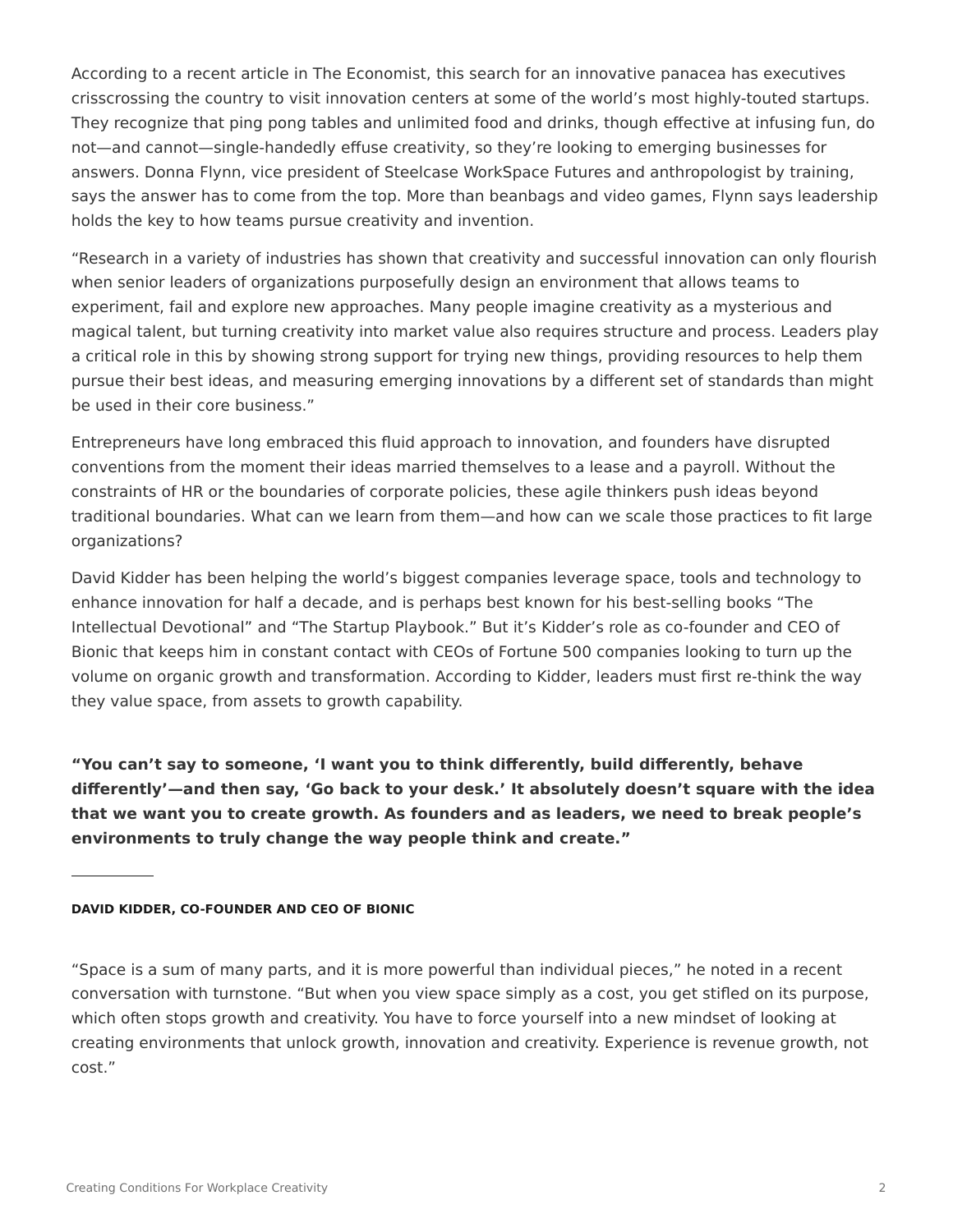According to a recent article in The Economist, this search for an innovative panacea has executives crisscrossing the country to visit innovation centers at some of the world's most highly-touted startups. They recognize that ping pong tables and unlimited food and drinks, though effective at infusing fun, do not—and cannot—single-handedly effuse creativity, so they're looking to emerging businesses for answers. Donna Flynn, vice president of Steelcase WorkSpace Futures and anthropologist by training, says the answer has to come from the top. More than beanbags and video games, Flynn says leadership holds the key to how teams pursue creativity and invention.

"Research in a variety of industries has shown that creativity and successful innovation can only flourish when senior leaders of organizations purposefully design an environment that allows teams to experiment, fail and explore new approaches. Many people imagine creativity as a mysterious and magical talent, but turning creativity into market value also requires structure and process. Leaders play a critical role in this by showing strong support for trying new things, providing resources to help them pursue their best ideas, and measuring emerging innovations by a different set of standards than might be used in their core business."

Entrepreneurs have long embraced this fluid approach to innovation, and founders have disrupted conventions from the moment their ideas married themselves to a lease and a payroll. Without the constraints of HR or the boundaries of corporate policies, these agile thinkers push ideas beyond traditional boundaries. What can we learn from them—and how can we scale those practices to fit large organizations?

David Kidder has been helping the world's biggest companies leverage space, tools and technology to enhance innovation for half a decade, and is perhaps best known for his best-selling books "The Intellectual Devotional" and "The Startup Playbook." But it's Kidder's role as co-founder and CEO of Bionic that keeps him in constant contact with CEOs of Fortune 500 companies looking to turn up the volume on organic growth and transformation. According to Kidder, leaders must first re-think the way they value space, from assets to growth capability.

**"You can't say to someone, 'I want you to think differently, build differently, behave differently'—and then say, 'Go back to your desk.' It absolutely doesn't square with the idea that we want you to create growth. As founders and as leaders, we need to break people's environments to truly change the way people think and create."**

#### **DAVID KIDDER, CO-FOUNDER AND CEO OF BIONIC**

"Space is a sum of many parts, and it is more powerful than individual pieces," he noted in a recent conversation with turnstone. "But when you view space simply as a cost, you get stifled on its purpose, which often stops growth and creativity. You have to force yourself into a new mindset of looking at creating environments that unlock growth, innovation and creativity. Experience is revenue growth, not cost."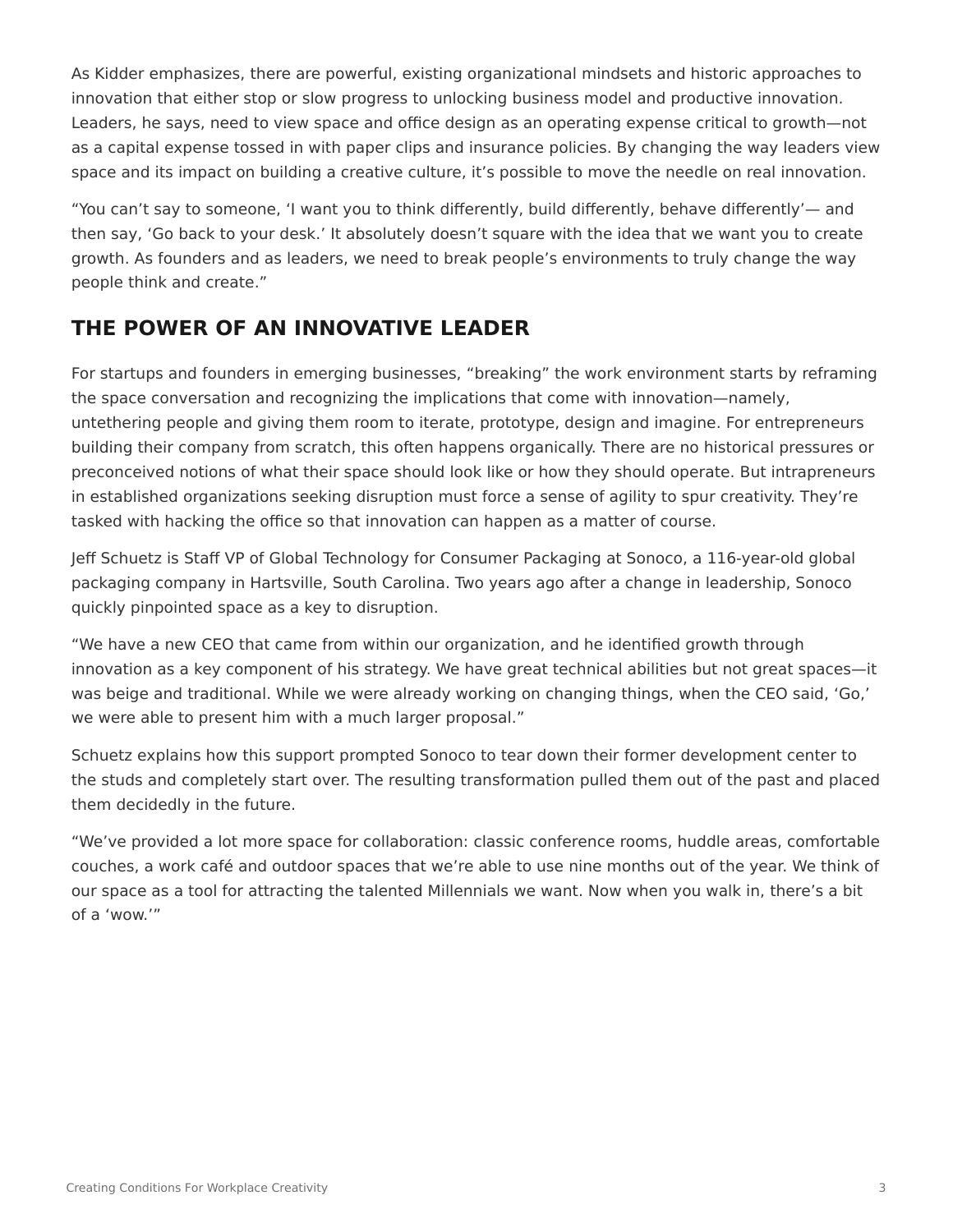As Kidder emphasizes, there are powerful, existing organizational mindsets and historic approaches to innovation that either stop or slow progress to unlocking business model and productive innovation. Leaders, he says, need to view space and office design as an operating expense critical to growth—not as a capital expense tossed in with paper clips and insurance policies. By changing the way leaders view space and its impact on building a creative culture, it's possible to move the needle on real innovation.

"You can't say to someone, 'I want you to think differently, build differently, behave differently'— and then say, 'Go back to your desk.' It absolutely doesn't square with the idea that we want you to create growth. As founders and as leaders, we need to break people's environments to truly change the way people think and create."

# **THE POWER OF AN INNOVATIVE LEADER**

For startups and founders in emerging businesses, "breaking" the work environment starts by reframing the space conversation and recognizing the implications that come with innovation—namely, untethering people and giving them room to iterate, prototype, design and imagine. For entrepreneurs building their company from scratch, this often happens organically. There are no historical pressures or preconceived notions of what their space should look like or how they should operate. But intrapreneurs in established organizations seeking disruption must force a sense of agility to spur creativity. They're tasked with hacking the office so that innovation can happen as a matter of course.

Jeff Schuetz is Staff VP of Global Technology for Consumer Packaging at Sonoco, a 116-year-old global packaging company in Hartsville, South Carolina. Two years ago after a change in leadership, Sonoco quickly pinpointed space as a key to disruption.

"We have a new CEO that came from within our organization, and he identified growth through innovation as a key component of his strategy. We have great technical abilities but not great spaces—it was beige and traditional. While we were already working on changing things, when the CEO said, 'Go,' we were able to present him with a much larger proposal."

Schuetz explains how this support prompted Sonoco to tear down their former development center to the studs and completely start over. The resulting transformation pulled them out of the past and placed them decidedly in the future.

"We've provided a lot more space for collaboration: classic conference rooms, huddle areas, comfortable couches, a work café and outdoor spaces that we're able to use nine months out of the year. We think of our space as a tool for attracting the talented Millennials we want. Now when you walk in, there's a bit of a 'wow.'"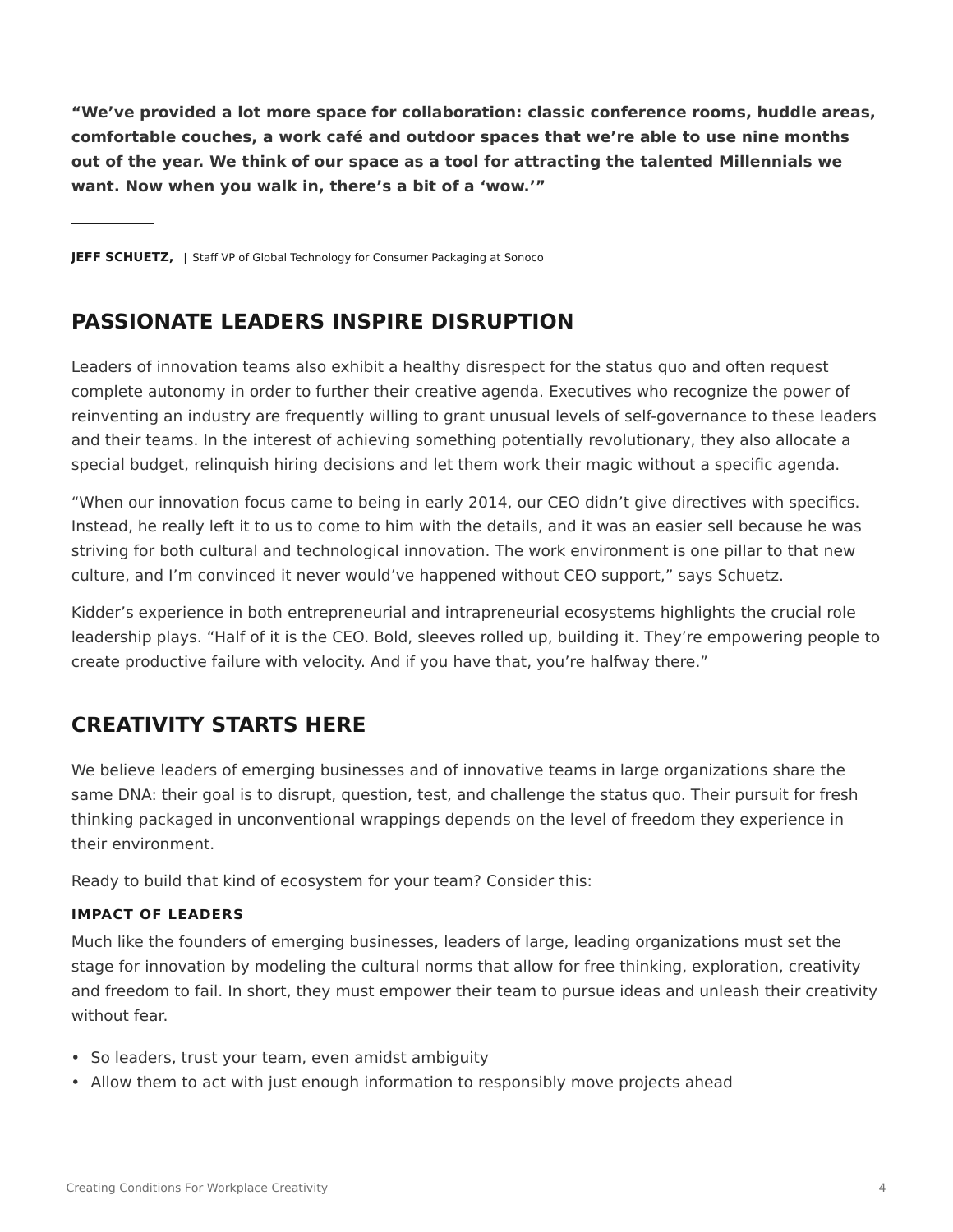**"We've provided a lot more space for collaboration: classic conference rooms, huddle areas, comfortable couches, a work café and outdoor spaces that we're able to use nine months out of the year. We think of our space as a tool for attracting the talented Millennials we want. Now when you walk in, there's a bit of a 'wow.'"**

**JEFF SCHUETZ,** | Staff VP of Global Technology for Consumer Packaging at Sonoco

### **PASSIONATE LEADERS INSPIRE DISRUPTION**

Leaders of innovation teams also exhibit a healthy disrespect for the status quo and often request complete autonomy in order to further their creative agenda. Executives who recognize the power of reinventing an industry are frequently willing to grant unusual levels of self-governance to these leaders and their teams. In the interest of achieving something potentially revolutionary, they also allocate a special budget, relinquish hiring decisions and let them work their magic without a specific agenda.

"When our innovation focus came to being in early 2014, our CEO didn't give directives with specifics. Instead, he really left it to us to come to him with the details, and it was an easier sell because he was striving for both cultural and technological innovation. The work environment is one pillar to that new culture, and I'm convinced it never would've happened without CEO support," says Schuetz.

Kidder's experience in both entrepreneurial and intrapreneurial ecosystems highlights the crucial role leadership plays. "Half of it is the CEO. Bold, sleeves rolled up, building it. They're empowering people to create productive failure with velocity. And if you have that, you're halfway there."

## **CREATIVITY STARTS HERE**

We believe leaders of emerging businesses and of innovative teams in large organizations share the same DNA: their goal is to disrupt, question, test, and challenge the status quo. Their pursuit for fresh thinking packaged in unconventional wrappings depends on the level of freedom they experience in their environment.

Ready to build that kind of ecosystem for your team? Consider this:

#### **IMPACT OF LEADERS**

Much like the founders of emerging businesses, leaders of large, leading organizations must set the stage for innovation by modeling the cultural norms that allow for free thinking, exploration, creativity and freedom to fail. In short, they must empower their team to pursue ideas and unleash their creativity without fear.

- So leaders, trust your team, even amidst ambiguity
- Allow them to act with just enough information to responsibly move projects ahead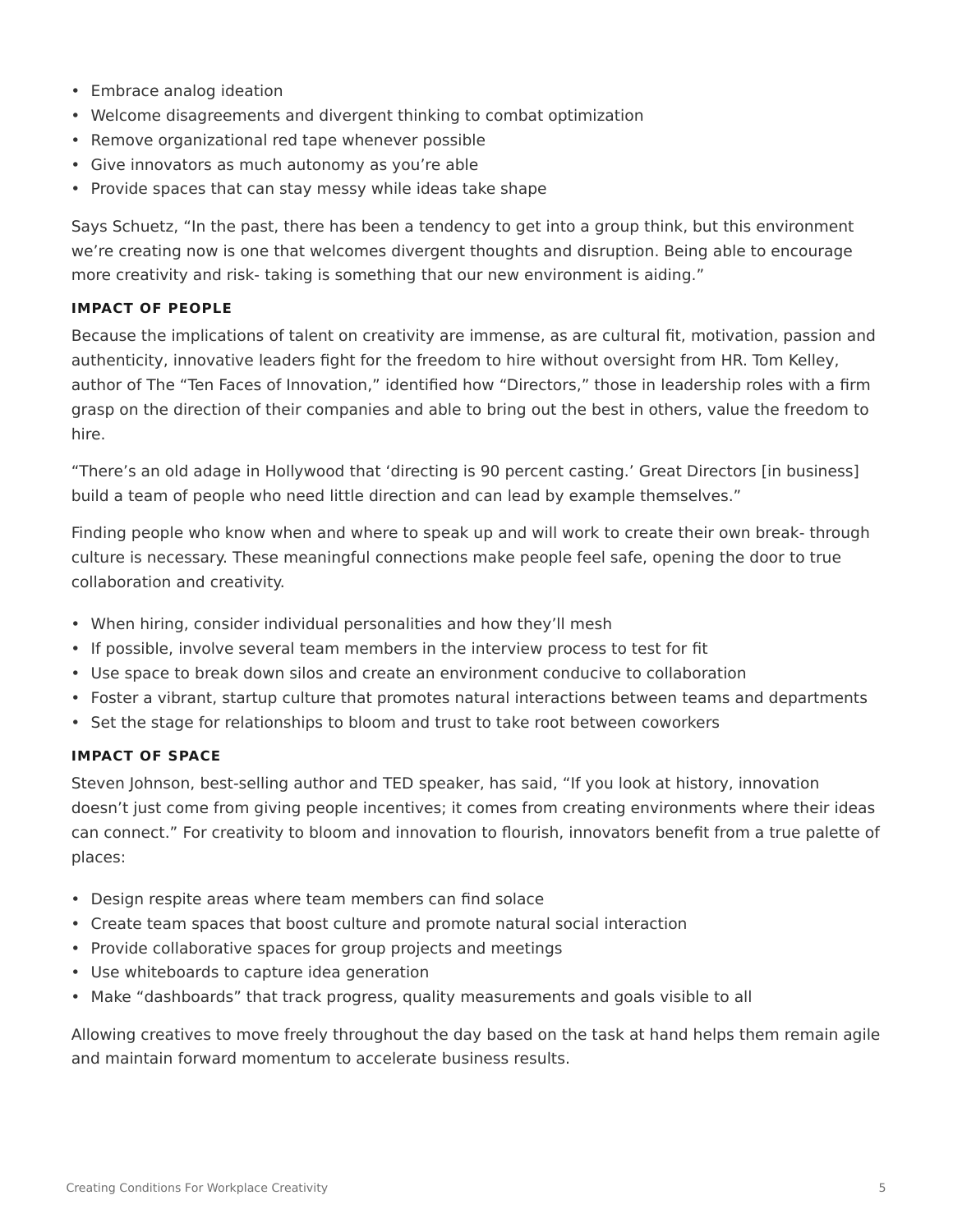- Embrace analog ideation
- Welcome disagreements and divergent thinking to combat optimization
- Remove organizational red tape whenever possible
- Give innovators as much autonomy as you're able
- Provide spaces that can stay messy while ideas take shape

Says Schuetz, "In the past, there has been a tendency to get into a group think, but this environment we're creating now is one that welcomes divergent thoughts and disruption. Being able to encourage more creativity and risk- taking is something that our new environment is aiding."

#### **IMPACT OF PEOPLE**

Because the implications of talent on creativity are immense, as are cultural fit, motivation, passion and authenticity, innovative leaders fight for the freedom to hire without oversight from HR. Tom Kelley, author of The "Ten Faces of Innovation," identified how "Directors," those in leadership roles with a firm grasp on the direction of their companies and able to bring out the best in others, value the freedom to hire.

"There's an old adage in Hollywood that 'directing is 90 percent casting.' Great Directors [in business] build a team of people who need little direction and can lead by example themselves."

Finding people who know when and where to speak up and will work to create their own break- through culture is necessary. These meaningful connections make people feel safe, opening the door to true collaboration and creativity.

- When hiring, consider individual personalities and how they'll mesh
- If possible, involve several team members in the interview process to test for fit
- Use space to break down silos and create an environment conducive to collaboration
- Foster a vibrant, startup culture that promotes natural interactions between teams and departments
- Set the stage for relationships to bloom and trust to take root between coworkers

#### **IMPACT OF SPACE**

Steven Johnson, best-selling author and TED speaker, has said, "If you look at history, innovation doesn't just come from giving people incentives; it comes from creating environments where their ideas can connect." For creativity to bloom and innovation to flourish, innovators benefit from a true palette of places:

- Design respite areas where team members can find solace
- Create team spaces that boost culture and promote natural social interaction
- Provide collaborative spaces for group projects and meetings
- Use whiteboards to capture idea generation
- Make "dashboards" that track progress, quality measurements and goals visible to all

Allowing creatives to move freely throughout the day based on the task at hand helps them remain agile and maintain forward momentum to accelerate business results.